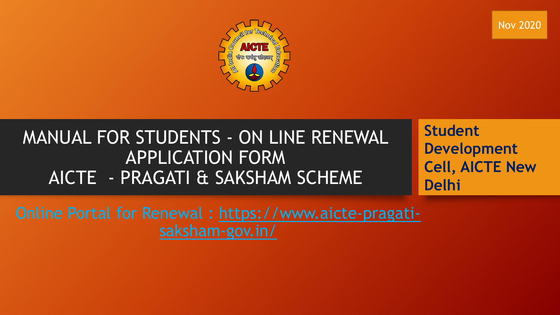Nov 2020



# MANUAL FOR STUDENTS - ON LINE RENEWAL APPLICATION FORM AICTE - PRAGATI & SAKSHAM SCHEME

**Student Development Cell, AICTE New Delhi**

Online Portal for R[enewal : https://www.aicte-pragati](https://www.aicte-pragati-saksham-gov.in/)saksham-gov.in/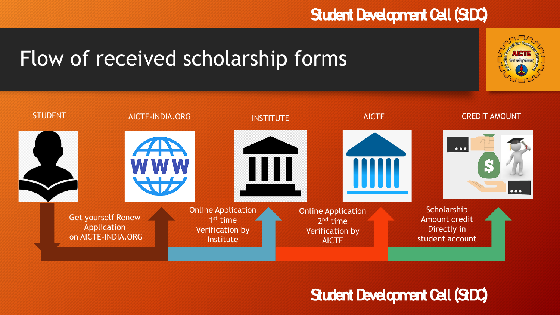# Flow of received scholarship forms

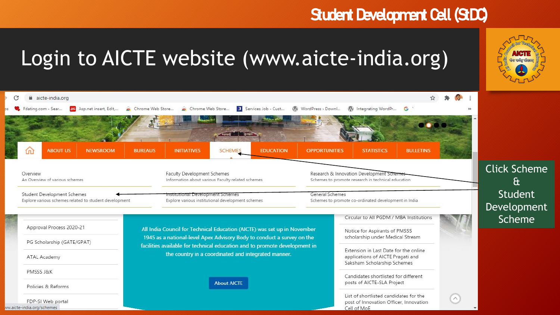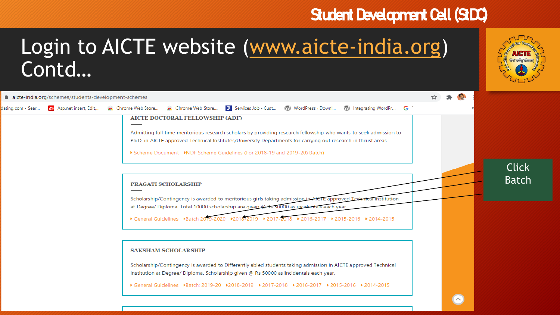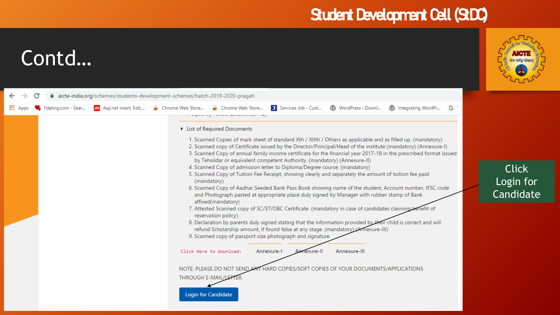

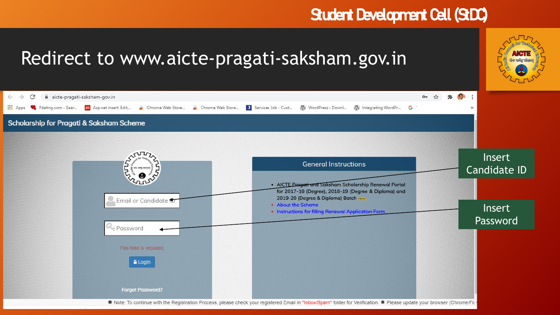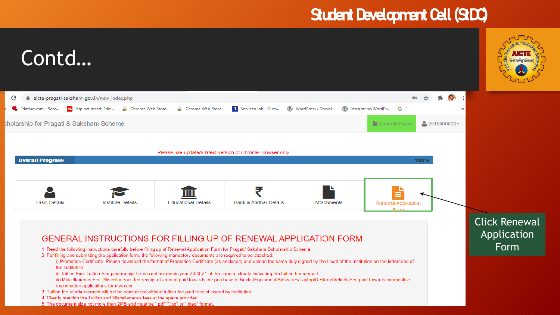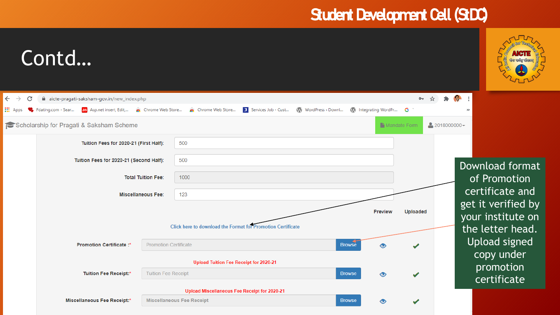

# Contd…

| $\leftarrow$<br>$\rightarrow$<br>C | aicte-pragati-saksham-gov.in/new_index.php                  |                                             |                                                                                  |                                        |                   |                               |                           | $O_T$           |                |                                                             |  |
|------------------------------------|-------------------------------------------------------------|---------------------------------------------|----------------------------------------------------------------------------------|----------------------------------------|-------------------|-------------------------------|---------------------------|-----------------|----------------|-------------------------------------------------------------|--|
| <b>III</b> Apps                    | Fdating.com - Sear<br>AS Asp.net insert, Edit,              | Chrome Web Store                            | Chrome Web Store                                                                 | Services Job - Cust                    | WordPress > Downl | W Integrating WordPr <b>G</b> |                           |                 |                | $\gg$                                                       |  |
|                                    | Scholarship for Pragati & Saksham Scheme                    |                                             |                                                                                  |                                        |                   |                               | <sup>1</sup> Mandate Form |                 | $2018000000 -$ |                                                             |  |
|                                    | Tuition Fees for 2020-21 (First Half):                      |                                             | 500                                                                              |                                        |                   |                               |                           |                 |                |                                                             |  |
|                                    | Tuition Fees for 2020-21 (Second Half):                     |                                             | 500                                                                              |                                        |                   |                               |                           |                 |                | Download format                                             |  |
|                                    |                                                             | <b>Total Tuition Fee:</b>                   | 1000                                                                             |                                        |                   |                               |                           |                 |                | of Promotion                                                |  |
|                                    | <b>Miscellaneous Fee:</b>                                   | 123                                         |                                                                                  |                                        |                   |                               |                           | certificate and |                |                                                             |  |
|                                    | Click here to download the Format for Promotion Certificate |                                             |                                                                                  |                                        |                   | <b>Preview</b>                |                           | <b>Uploaded</b> |                | get it verified by<br>your institute on<br>the letter head. |  |
|                                    | Promotion Certificate:*                                     | <b>Promotion Certificate</b>                | <b>Browse</b>                                                                    |                                        |                   | $\bullet$                     |                           |                 |                | <b>Upload signed</b><br>copy under                          |  |
|                                    |                                                             |                                             |                                                                                  | Upload Tuition Fee Receipt for 2020-21 |                   |                               |                           |                 |                | promotion                                                   |  |
|                                    | <b>Tuition Fee Receipt:*</b>                                | <b>Tuition Fee Receipt</b><br><b>Browse</b> |                                                                                  | $\circledcirc$                         |                   |                               |                           | certificate     |                |                                                             |  |
|                                    |                                                             |                                             | Upload Miscellaneous Fee Receipt for 2020-21<br><b>Miscellaneous Fee Receipt</b> |                                        |                   | <b>Browse</b>                 |                           |                 |                |                                                             |  |
|                                    | <b>Miscellaneous Fee Receipt:*</b>                          |                                             |                                                                                  |                                        |                   |                               |                           |                 |                |                                                             |  |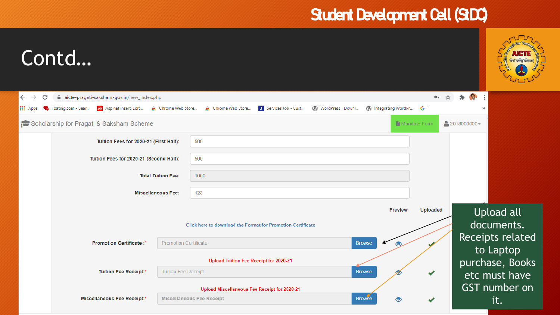| Contd                                                      |                                                        |                              |                                                                                       |                                             |              |                                      |                          |  |  |  |
|------------------------------------------------------------|--------------------------------------------------------|------------------------------|---------------------------------------------------------------------------------------|---------------------------------------------|--------------|--------------------------------------|--------------------------|--|--|--|
| $\leftarrow$<br>C<br>$\rightarrow$                         | aicte-pragati-saksham-gov.in/new_index.php             |                              |                                                                                       |                                             | $O_T$        |                                      |                          |  |  |  |
| <b>III</b> Apps                                            | Fdating.com - Sear                                     |                              | Services Job - Cust<br>As Asp.net insert, Edit, A Chrome Web Store A Chrome Web Store | WordPress > Downl<br>W Integrating WordPr G |              | $\rightarrow$                        |                          |  |  |  |
|                                                            | Scholarship for Pragati & Saksham Scheme               |                              |                                                                                       |                                             | Mandate Form | $2018000000 -$                       |                          |  |  |  |
|                                                            | Tuition Fees for 2020-21 (First Half):                 |                              | 500                                                                                   |                                             |              |                                      |                          |  |  |  |
|                                                            | Tuition Fees for 2020-21 (Second Half):                |                              | 500                                                                                   |                                             |              |                                      |                          |  |  |  |
|                                                            | <b>Total Tuition Fee:</b><br><b>Miscellaneous Fee:</b> |                              | 1000                                                                                  |                                             |              |                                      |                          |  |  |  |
|                                                            |                                                        |                              | 123                                                                                   |                                             |              |                                      |                          |  |  |  |
|                                                            |                                                        |                              | <b>Preview</b><br><b>Click here to download the Format for Promotion Certificate</b>  |                                             |              | <b>Uploaded</b>                      | Upload all<br>documents. |  |  |  |
|                                                            | Promotion Certificate:*                                | <b>Promotion Certificate</b> |                                                                                       |                                             |              | <b>Receipts related</b><br>to Laptop |                          |  |  |  |
|                                                            |                                                        |                              | Upload Tuition Fee Receipt for 2020-21                                                |                                             |              | purchase, Books                      |                          |  |  |  |
| <b>Tuition Fee Receipt:*</b><br><b>Tuition Fee Receipt</b> |                                                        |                              |                                                                                       |                                             |              | etc must have                        |                          |  |  |  |
|                                                            |                                                        |                              | Upload Miscellaneous Fee Receipt for 2020-21                                          |                                             |              | GST number on                        |                          |  |  |  |
|                                                            | <b>Miscellaneous Fee Receipt:*</b>                     |                              | <b>Miscellaneous Fee Receipt</b>                                                      | <b>Browse</b>                               |              |                                      | it.                      |  |  |  |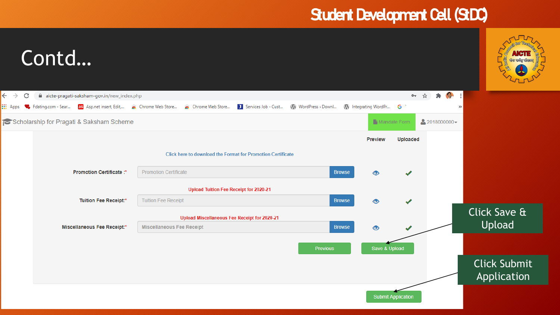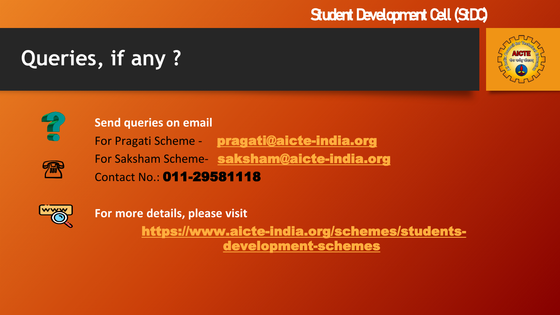# **Queries, if any ?**





 $\frac{1}{2}$ 

#### **Send queries on email**

For Pragati Scheme - [pragati@aicte-india.org](mailto:pragati@aicte-india.org) For Saksham Scheme- [saksham](mailto:pragatisaksham@aicte-india.org)[@aicte-india.or](mailto:pragati@aicte-india.org)[g](mailto:pragatisaksham@aicte-india.org) Contact No.: 011-29581118



**For more details, please visit**

[https://www.aicte-india.org/schemes/students](https://www.aicte-india.org/schemes/students-development-schemes)development-schemes